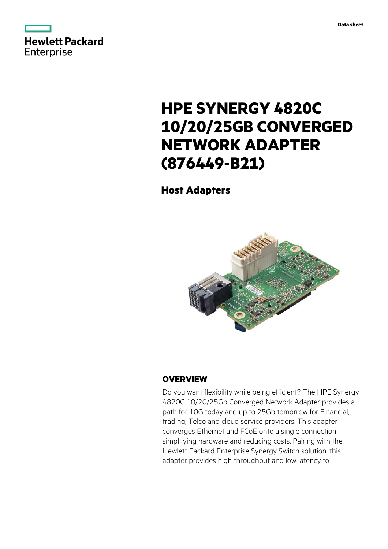



# **HPE SYNERGY 4820C 10/20/25GB CONVERGED NETWORK ADAPTER (876449-B21)**

**Host Adapters**



## **OVERVIEW**

Do you want flexibility while being efficient? The HPE Synergy 4820C 10/20/25Gb Converged Network Adapter provides a path for 10G today and up to 25Gb tomorrow for Financial, trading, Telco and cloud service providers. This adapter converges Ethernet and FCoE onto a single connection simplifying hardware and reducing costs. Pairing with the Hewlett Packard Enterprise Synergy Switch solution, this adapter provides high throughput and low latency to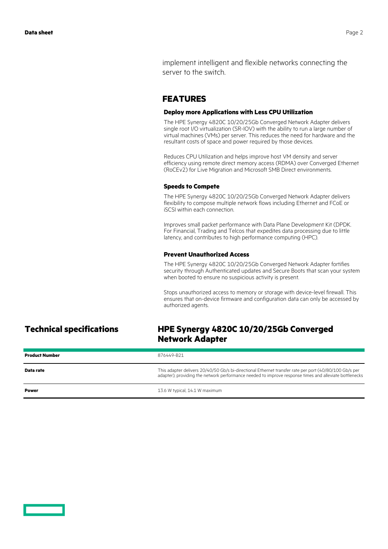implement intelligent and flexible networks connecting the server to the switch.

## **FEATURES**

### **Deploy more Applications with Less CPU Utilization**

The HPE Synergy 4820C 10/20/25Gb Converged Network Adapter delivers single root I/O virtualization (SR-IOV) with the ability to run a large number of virtual machines (VMs) per server. This reduces the need for hardware and the resultant costs of space and power required by those devices.

Reduces CPU Utilization and helps improve host VM density and server efficiency using remote direct memory access (RDMA) over Converged Ethernet (RoCEv2) for Live Migration and Microsoft SMB Direct environments.

### **Speeds to Compete**

The HPE Synergy 4820C 10/20/25Gb Converged Network Adapter delivers flexibility to compose multiple network flows including Ethernet and FCoE or iSCSI within each connection.

Improves small packet performance with Data Plane Development Kit (DPDK. For Financial, Trading and Telcos that expedites data processing due to little latency, and contributes to high performance computing (HPC).

## **Prevent Unauthorized Access**

The HPE Synergy 4820C 10/20/25Gb Converged Network Adapter fortifies security through Authenticated updates and Secure Boots that scan your system when booted to ensure no suspicious activity is present.

Stops unauthorized access to memory or storage with device-level firewall. This ensures that on-device firmware and configuration data can only be accessed by authorized agents.

## **Technical specifications HPE Synergy 4820C 10/20/25Gb Converged Network Adapter**

| <b>Product Number</b> | 876449-B21                                                                                                                                                                                                       |
|-----------------------|------------------------------------------------------------------------------------------------------------------------------------------------------------------------------------------------------------------|
| Data rate             | This adapter delivers 20/40/50 Gb/s bi-directional Ethernet transfer rate per port (40/80/100 Gb/s per<br>adapter), providing the network performance needed to improve response times and alleviate bottlenecks |
| Power                 | 13.6 W typical, 14.1 W maximum                                                                                                                                                                                   |